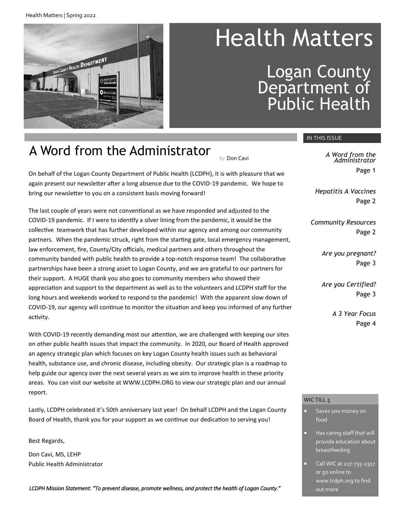Health Matters | Spring 2022



# Health Matters

Logan County Department of Public Health

# A Word from the Administrator

On behalf of the Logan County Department of Public Health (LCDPH), it is with pleasure that we again present our newsletter after a long absence due to the COVID-19 pandemic. We hope to bring our newsletter to you on a consistent basis moving forward!

The last couple of years were not conventional as we have responded and adjusted to the COVID-19 pandemic. If I were to identify a silver lining from the pandemic, it would be the collective teamwork that has further developed within our agency and among our community partners. When the pandemic struck, right from the starting gate, local emergency management, law enforcement, fire, County/City officials, medical partners and others throughout the community banded with public health to provide a top-notch response team! The collaborative partnerships have been a strong asset to Logan County, and we are grateful to our partners for their support. A HUGE thank you also goes to community members who showed their appreciation and support to the department as well as to the volunteers and LCDPH staff for the long hours and weekends worked to respond to the pandemic! With the apparent slow down of COVID-19, our agency will continue to monitor the situation and keep you informed of any further activity.

With COVID-19 recently demanding most our attention, we are challenged with keeping our sites on other public health issues that impact the community. In 2020, our Board of Health approved an agency strategic plan which focuses on key Logan County health issues such as behavioral health, substance use, and chronic disease, including obesity. Our strategic plan is a roadmap to help guide our agency over the next several years as we aim to improve health in these priority areas. You can visit our website at WWW.LCDPH.ORG to view our strategic plan and our annual report.

Lastly, LCDPH celebrated it's 50th anniversary last year! On behalf LCDPH and the Logan County Board of Health, thank you for your support as we continue our dedication to serving you!

Best Regards,

Don Cavi, MS, LEHP Public Health Administrator

*LCDPH Mission Statement: "To prevent disease, promote wellness, and protect the health of Logan County."* 

#### IN THIS ISSUE

by Don Cavi *A Word from the Administrator* Page 1

> *Hepatitis A Vaccines* Page 2

*Community Resources* Page 2

> *Are you pregnant?* Page 3

> *Are you Certified?* Page 3

> > *A 3 Year Focus* Page 4

#### WIC TILL 5

- Saves you money on food
- Has caring staff that will provide education about breastfeeding
- Call WIC at 217-735-2317 or go online to www.lcdph.org to find out more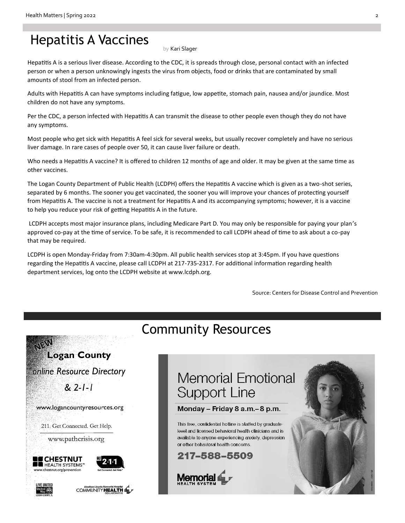### Hepatitis A Vaccines

by Kari Slager

Hepatitis A is a serious liver disease. According to the CDC, it is spreads through close, personal contact with an infected person or when a person unknowingly ingests the virus from objects, food or drinks that are contaminated by small amounts of stool from an infected person.

Adults with Hepatitis A can have symptoms including fatigue, low appetite, stomach pain, nausea and/or jaundice. Most children do not have any symptoms.

Per the CDC, a person infected with Hepatitis A can transmit the disease to other people even though they do not have any symptoms.

Most people who get sick with Hepatitis A feel sick for several weeks, but usually recover completely and have no serious liver damage. In rare cases of people over 50, it can cause liver failure or death.

Who needs a Hepatitis A vaccine? It is offered to children 12 months of age and older. It may be given at the same time as other vaccines.

The Logan County Department of Public Health (LCDPH) offers the Hepatitis A vaccine which is given as a two-shot series, separated by 6 months. The sooner you get vaccinated, the sooner you will improve your chances of protecting yourself from Hepatitis A. The vaccine is not a treatment for Hepatitis A and its accompanying symptoms; however, it is a vaccine to help you reduce your risk of getting Hepatitis A in the future.

LCDPH accepts most major insurance plans, including Medicare Part D. You may only be responsible for paying your plan's approved co-pay at the time of service. To be safe, it is recommended to call LCDPH ahead of time to ask about a co-pay that may be required.

LCDPH is open Monday-Friday from 7:30am-4:30pm. All public health services stop at 3:45pm. If you have questions regarding the Hepatitis A vaccine, please call LCDPH at 217-735-2317. For additional information regarding health department services, log onto the LCDPH website at www.lcdph.org.

Source: Centers for Disease Control and Prevention

### Community Resources

## **Logan County** online Resource Directory  $82 - 1 - 1$ www.logancountyresources.org 211. Get Connected. Get Help. www.pathcrisis.org ■CHESTNUT **E** HEALTH SYSTEMS' www.chestnut.org/prevention COMMUNITY HEALTH

### **Memorial Emotional Support Line**

#### Monday - Friday 8 a.m.-8 p.m.

This free confidential hotline is staffed by graduatelevel and licensed behavioral health clinicians and is available to anyone experiencing anxiety, depression or other behavioral health concerns.

#### 217-588-5509

**Memorial** 

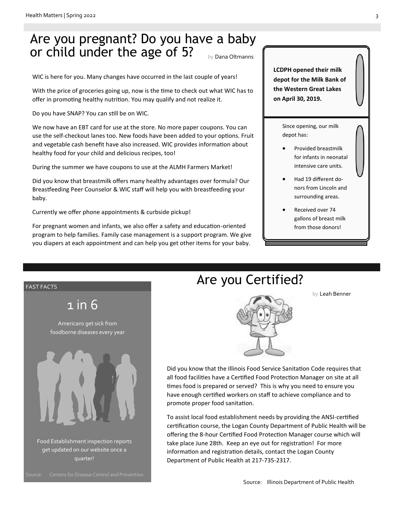### Are you pregnant? Do you have a baby or child under the age of 5? by Dana Oltmanns

WIC is here for you. Many changes have occurred in the last couple of years!

With the price of groceries going up, now is the time to check out what WIC has to offer in promoting healthy nutrition. You may qualify and not realize it.

Do you have SNAP? You can still be on WIC.

We now have an EBT card for use at the store. No more paper coupons. You can use the self-checkout lanes too. New foods have been added to your options. Fruit and vegetable cash benefit have also increased. WIC provides information about healthy food for your child and delicious recipes, too!

During the summer we have coupons to use at the ALMH Farmers Market!

Did you know that breastmilk offers many healthy advantages over formula? Our Breastfeeding Peer Counselor & WIC staff will help you with breastfeeding your baby.

Currently we offer phone appointments & curbside pickup!

For pregnant women and infants, we also offer a safety and education-oriented program to help families. Family case management is a support program. We give you diapers at each appointment and can help you get other items for your baby.

**LCDPH opened their milk depot for the Milk Bank of the Western Great Lakes on April 30, 2019.**

> Since opening, our milk depot has:

- Provided breastmilk for infants in neonatal intensive care units.
- Had 19 different donors from Lincoln and surrounding areas.
- Received over 74 gallons of breast milk from those donors!



Food Establishment inspection reports Americans get sick from get updated on our website once a quarter!

#### Are you Certified?

by Leah Benner



Did you know that the Illinois Food Service Sanitation Code requires that all food facilities have a Certified Food Protection Manager on site at all times food is prepared or served? This is why you need to ensure you have enough certified workers on staff to achieve compliance and to promote proper food sanitation.

To assist local food establishment needs by providing the ANSI-certified certification course, the Logan County Department of Public Health will be offering the 8-hour Certified Food Protection Manager course which will take place June 28th. Keep an eye out for registration! For more information and registration details, contact the Logan County Department of Public Health at 217-735-2317.